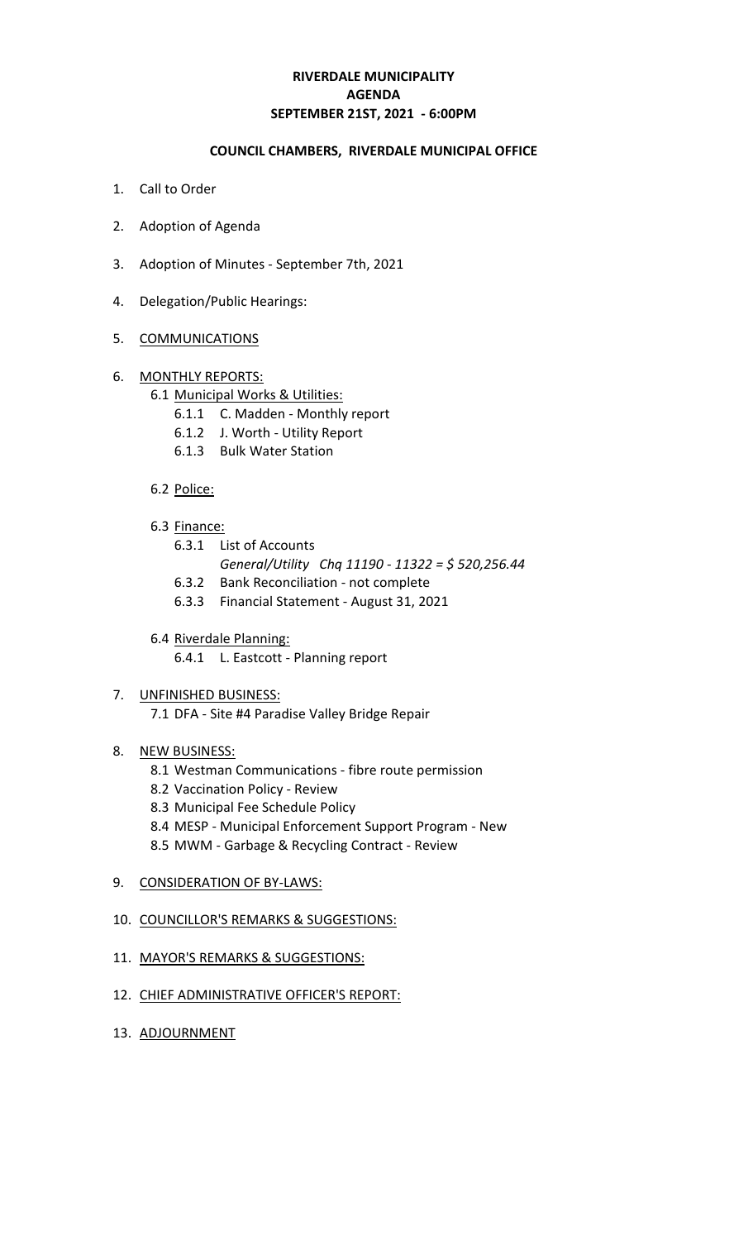# **RIVERDALE MUNICIPALITY SEPTEMBER 21ST, 2021 - 6:00PM AGENDA**

#### **COUNCIL CHAMBERS, RIVERDALE MUNICIPAL OFFICE**

- 1. Call to Order
- 2. Adoption of Agenda
- 3. Adoption of Minutes September 7th, 2021
- 4. Delegation/Public Hearings:

## 5. COMMUNICATIONS

## 6. MONTHLY REPORTS:

## 6.1 Municipal Works & Utilities:

- 6.1.1 C. Madden Monthly report
- 6.1.2 J. Worth Utility Report
- 6.1.3 Bulk Water Station

## 6.2 Police:

- 6.3 Finance:
	- 6.3.1 List of Accounts
		- *General/Utility Chq 11190 11322 = \$ 520,256.44*
	- 6.3.2 Bank Reconciliation not complete
	- 6.3.3 Financial Statement August 31, 2021
- 6.4 Riverdale Planning:
	- 6.4.1 L. Eastcott Planning report

#### 7. UNFINISHED BUSINESS:

7.1 DFA - Site #4 Paradise Valley Bridge Repair

# 8. NEW BUSINESS:

- 8.1 Westman Communications fibre route permission
- 8.2 Vaccination Policy Review
- 8.3 Municipal Fee Schedule Policy
- 8.4 MESP Municipal Enforcement Support Program New
- 8.5 MWM Garbage & Recycling Contract Review
- 9. CONSIDERATION OF BY-LAWS:

#### 10. COUNCILLOR'S REMARKS & SUGGESTIONS:

- 11. MAYOR'S REMARKS & SUGGESTIONS:
- 12. CHIEF ADMINISTRATIVE OFFICER'S REPORT:
- 13. ADJOURNMENT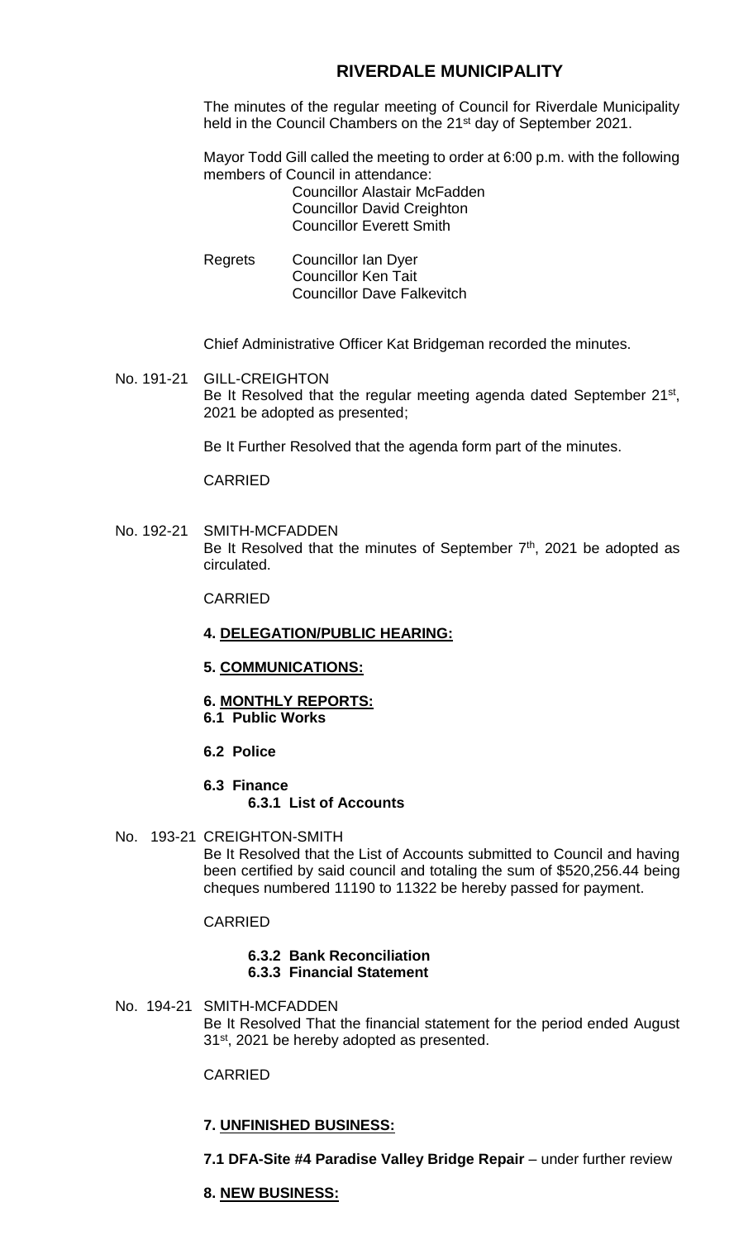# **RIVERDALE MUNICIPALITY**

The minutes of the regular meeting of Council for Riverdale Municipality held in the Council Chambers on the 21<sup>st</sup> day of September 2021.

Mayor Todd Gill called the meeting to order at 6:00 p.m. with the following members of Council in attendance:

Councillor Alastair McFadden Councillor David Creighton Councillor Everett Smith

Regrets Councillor Ian Dyer Councillor Ken Tait Councillor Dave Falkevitch

Chief Administrative Officer Kat Bridgeman recorded the minutes.

No. 191-21 GILL-CREIGHTON Be It Resolved that the regular meeting agenda dated September 21<sup>st</sup>, 2021 be adopted as presented;

Be It Further Resolved that the agenda form part of the minutes.

CARRIED

No. 192-21 SMITH-MCFADDEN Be It Resolved that the minutes of September  $7<sup>th</sup>$ , 2021 be adopted as circulated.

CARRIED

- **4. DELEGATION/PUBLIC HEARING:**
- **5. COMMUNICATIONS:**
- **6. MONTHLY REPORTS:**
- **6.1 Public Works**
- **6.2 Police**
- **6.3 Finance 6.3.1 List of Accounts**
- No. 193-21 CREIGHTON-SMITH

Be It Resolved that the List of Accounts submitted to Council and having been certified by said council and totaling the sum of \$520,256.44 being cheques numbered 11190 to 11322 be hereby passed for payment.

#### CARRIED

#### **6.3.2 Bank Reconciliation 6.3.3 Financial Statement**

No. 194-21 SMITH-MCFADDEN Be It Resolved That the financial statement for the period ended August 31<sup>st</sup>, 2021 be hereby adopted as presented.

#### CARRIED

#### **7. UNFINISHED BUSINESS:**

**7.1 DFA-Site #4 Paradise Valley Bridge Repair** – under further review

#### **8. NEW BUSINESS:**